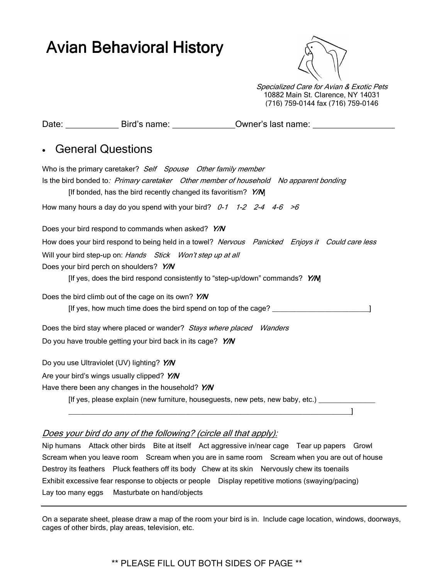# Avian Behavioral History



Specialized Care for Avian & Exotic Pets 10882 Main St. Clarence, NY 14031 (716) 759-0144 fax (716) 759-0146

|                                                                                |                                                                                | Date: _____________________Bird's name: __________________Owner's last name: _______________________ |
|--------------------------------------------------------------------------------|--------------------------------------------------------------------------------|------------------------------------------------------------------------------------------------------|
|                                                                                |                                                                                |                                                                                                      |
|                                                                                | <b>General Questions</b>                                                       |                                                                                                      |
|                                                                                | Who is the primary caretaker? Self Spouse Other family member                  |                                                                                                      |
|                                                                                | [If bonded, has the bird recently changed its favoritism? Y/M]                 | Is the bird bonded to: Primary caretaker Other member of household No apparent bonding               |
|                                                                                | How many hours a day do you spend with your bird? $0-1$ $1-2$ $2-4$ $4-6$ $>6$ |                                                                                                      |
|                                                                                | Does your bird respond to commands when asked? Y/N                             |                                                                                                      |
|                                                                                |                                                                                | How does your bird respond to being held in a towel? Nervous Panicked Enjoys it Could care less      |
|                                                                                | Will your bird step-up on: Hands Stick Won't step up at all                    |                                                                                                      |
|                                                                                | Does your bird perch on shoulders? Y/N                                         |                                                                                                      |
|                                                                                |                                                                                | [If yes, does the bird respond consistently to "step-up/down" commands? Y/M                          |
|                                                                                | Does the bird climb out of the cage on its own? Y/N                            |                                                                                                      |
|                                                                                |                                                                                | [If yes, how much time does the bird spend on top of the cage?                                       |
|                                                                                | Does the bird stay where placed or wander? Stays where placed Wanders          |                                                                                                      |
|                                                                                | Do you have trouble getting your bird back in its cage? Y/N                    |                                                                                                      |
|                                                                                | Do you use Ultraviolet (UV) lighting? Y/N                                      |                                                                                                      |
|                                                                                | Are your bird's wings usually clipped? Y/N                                     |                                                                                                      |
|                                                                                | Have there been any changes in the household? Y/N                              |                                                                                                      |
| [If yes, please explain (new furniture, houseguests, new pets, new baby, etc.) |                                                                                |                                                                                                      |

#### Does your bird do any of the following? (circle all that apply):

Nip humans Attack other birds Bite at itself Act aggressive in/near cage Tear up papers Growl Scream when you leave room Scream when you are in same room Scream when you are out of house Destroy its feathers Pluck feathers off its body Chew at its skin Nervously chew its toenails Exhibit excessive fear response to objects or people Display repetitive motions (swaying/pacing) Lay too many eggs Masturbate on hand/objects

\_\_\_\_\_\_\_\_\_\_\_\_\_\_\_\_\_\_\_\_\_\_\_\_\_\_\_\_\_\_\_\_\_\_\_\_\_\_\_\_\_\_\_\_\_\_\_\_\_\_\_\_\_\_\_\_\_\_\_\_\_\_\_\_\_\_\_\_\_\_]

On a separate sheet, please draw a map of the room your bird is in. Include cage location, windows, doorways, cages of other birds, play areas, television, etc.

# \*\* PLEASE FILL OUT BOTH SIDES OF PAGE \*\*